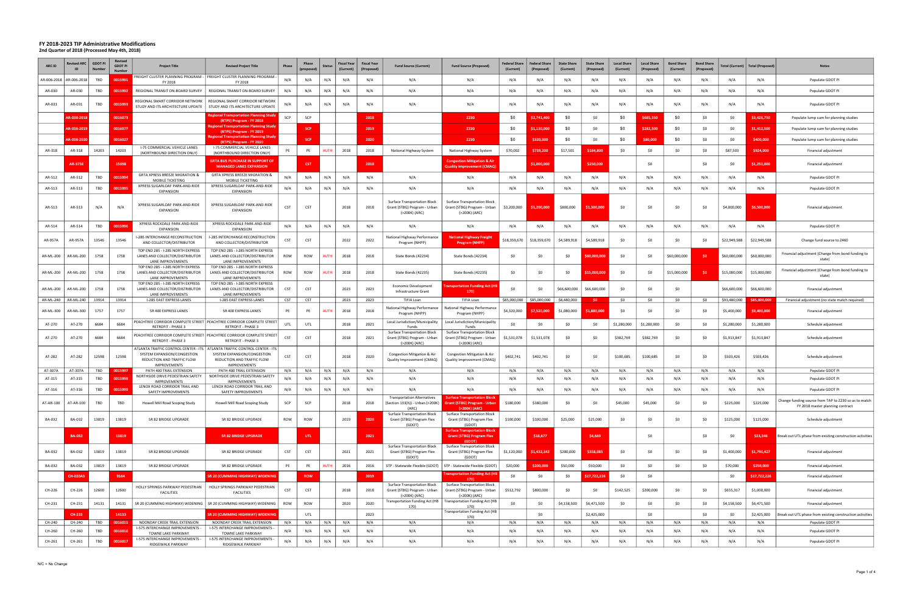| ARC ID        |                 | <b>GDOT F</b><br>Num | <b>Revised</b><br><b>GDOT PI</b> | <b>Project Title</b>                                                                             | <b>Revised Project Title</b>                                                                                                                                    | Phase      | Phase      | Statu:      | Fiscal Yea<br>(Current) | <b>Fiscal Yea</b><br><i>(Propose)</i> | <b>Fund Source (Current)</b>                                                         | <b>Fund Source (Proposed)</b>                                                               | <b>Federal Share</b><br>(Current) | <b>Federal Shan</b><br>(Proposed | <b>State Share</b><br>(Current) | <b>State Share</b><br>(Proposed | <b>Local Share</b><br>(Current) | <b>Local Share</b><br>(Proposed) | <b>Bond Share</b><br>(Current) | <b>Bond Share</b><br>(Propose | 'otal (Current) | <b>Total (Proposed)</b> | <b>Notes</b>                                                                              |
|---------------|-----------------|----------------------|----------------------------------|--------------------------------------------------------------------------------------------------|-----------------------------------------------------------------------------------------------------------------------------------------------------------------|------------|------------|-------------|-------------------------|---------------------------------------|--------------------------------------------------------------------------------------|---------------------------------------------------------------------------------------------|-----------------------------------|----------------------------------|---------------------------------|---------------------------------|---------------------------------|----------------------------------|--------------------------------|-------------------------------|-----------------|-------------------------|-------------------------------------------------------------------------------------------|
| AR-006-2018   | AR-006-2018     | TBD                  | 001599                           | FY 2018                                                                                          | FREIGHT CLUSTER PLANNING PROGRAM -   FREIGHT CLUSTER PLANNING PROGRAM -<br>FY 2018                                                                              | N/A        | N/A        | N/A         | N/A                     | N/A                                   | N/A                                                                                  | N/A                                                                                         | N/A                               | N/A                              | N/A                             | N/A                             | N/A                             |                                  | N/A                            | N/A                           | N/A             | N/A                     | Populate GDOT PI                                                                          |
| AR-030        | AR-030          | TBD                  | 0015992                          | REGIONAL TRANSIT ON-BOARD SURVEY                                                                 | REGIONAL TRANSIT ON-BOARD SURVEY                                                                                                                                | N/A        | N/A        | N/A         | N/A                     | N/A                                   | N/A                                                                                  | N/A                                                                                         | N/A                               | N/A                              | N/A                             | N/A                             | N/A                             | N/A                              | N/A                            | N/A                           | N/A             | N/A                     | Populate GDOT PI                                                                          |
| AR-031        | AR-031          | TBD                  | 001599                           | REGIONAL SMART CORRIDOR NETWORK<br>STUDY AND ITS ARCHITECTURE UPDATE                             | REGIONAL SMART CORRIDOR NETWORK<br>STUDY AND ITS ARCHITECTURE UPDATE                                                                                            | N/A        | N/A        | N/A         | N/A                     | N/A                                   | N/A                                                                                  | N/A                                                                                         | N/A                               | N/A                              | N/A                             | N/A                             | N/A                             |                                  | N/A                            | N/A                           | N/A             | N/A                     | Populate GDOT PI                                                                          |
|               | R-038-201       |                      | 0016073                          |                                                                                                  | Regional Transportation Planning Study<br>(RTPS) Program - FY 2018                                                                                              | SCP        | SCP        |             |                         | 2018                                  |                                                                                      | Z230                                                                                        | \$0                               | 2.741.40                         | -\$0                            | S0                              | \$0                             | 685.35                           | \$0                            | \$0                           | \$0             | \$3,426,750             | Populate lump sum for planning studies                                                    |
|               | R-038-201       |                      | 0016077                          |                                                                                                  | Regional Transportation Planning Study<br>(RTPS) Program - FY 2019                                                                                              |            | <b>SCP</b> |             |                         | 2019                                  |                                                                                      | <b>Z230</b>                                                                                 | \$0                               | 1.130.00                         | \$0                             | S0                              | \$0                             | \$282,500                        | \$0                            | \$0                           | \$0             | \$1,412,500             | Populate lump sum for planning studies                                                    |
|               | 3-038-202       |                      | 0016027                          |                                                                                                  | legional Transportation Planning Stud<br>(RTPS) Program - FY 2020                                                                                               |            | SCF        |             |                         | 2020                                  |                                                                                      | Z230                                                                                        | \$0                               | 320,000                          | \$0                             | Ś0                              | \$0                             | \$80,000                         | \$0                            | \$0                           | \$0             | \$400,000               | Populate lump sum for planning studies                                                    |
| AR-318        | AR-318          | 14203                | 14203                            | I-75 COMMERCIAL VEHICLE LANES<br>(NORTHBOUND DIRECTION ONLY)                                     | <b>I-75 COMMERCIAL VEHICLE LANES</b><br>(NORTHBOUND DIRECTION ONLY)                                                                                             | PE         | PE         | <b>NUTH</b> | 2018                    | 2018                                  | National Highway System                                                              | National Highway System                                                                     | \$70,002                          | 739,200                          | \$17,501                        | \$184.800                       | SO                              | <b>SO</b>                        | \$0                            | S0                            | \$87,503        | \$924,000               | Financial adjustment                                                                      |
|               | <b>AR-375</b>   |                      | 15698                            |                                                                                                  | <b>GRTA BUS PURCHASE IN SUPPORT OF</b><br><b>MANAGED LANES EXPANSION</b>                                                                                        |            | <b>CST</b> |             |                         | 2018                                  |                                                                                      | <b>Congestion Mitigation &amp; Air</b><br>Quality Improvement (CMAQ                         |                                   | \$1,000,000                      |                                 | \$250,000                       |                                 | -SO                              |                                | Śſ                            | \$0             | \$1,250,000             | Financial adjustment                                                                      |
| AR-512        | AR-512          | TBD                  | 001599                           | GRTA XPRESS BREEZE MIGRATION &<br>MOBILE TICKETING                                               | GRTA XPRESS BREEZE MIGRATION &<br>MOBILE TICKETING                                                                                                              | N/A        | N/A        | N/A         | N/A                     | N/A                                   | N/A                                                                                  | N/A                                                                                         | N/A                               | N/A                              | N/A                             | N/A                             | N/A                             | N/4                              | N/A                            | N/A                           | N/A             | N/A                     | Populate GDOT PI                                                                          |
| AR-513        | AR-513          | TBD                  | 001599                           | XPRESS SUGARLOAF PARK-AND-RIDE                                                                   | XPRESS SUGARLOAF PARK-AND-RIDE                                                                                                                                  | N/A        | N/A        | N/A         | N/A                     | N/A                                   | N/A                                                                                  | N/A                                                                                         | N/A                               | N/A                              | N/A                             | N/A                             | N/A                             | N/A                              | N/A                            | N/A                           | N/A             | N/A                     | Populate GDOT PI                                                                          |
| AR-513        | AR-513          | N/A                  | N/A                              | EXPANSION<br>XPRESS SUGARLOAF PARK-AND-RIDE<br><b>EXPANSION</b>                                  | <b>EXPANSION</b><br>XPRESS SUGARLOAF PARK-AND-RIDE<br><b>EXPANSION</b>                                                                                          | CST        | <b>CST</b> |             | 2018                    | 2018                                  | <b>Surface Transportation Block</b><br>Grant (STBG) Program - Urban<br>(>200K) (ARC) | <b>Surface Transportation Block</b><br>Grant (STBG) Program - Urban<br>(>200K) (ARC)        | \$3,200,000                       | \$5,200,000                      | \$800,000                       | 1,300,000                       | SO                              |                                  | \$0                            | - \$0                         | \$4,000,000     | \$6,500,000             | Financial adjustment                                                                      |
| AR-514        | AR-514          | TBD                  | 001599                           | XPRESS ROCKDALE PARK-AND-RIDE<br><b>EXPANSION</b>                                                | XPRESS ROCKDALE PARK-AND-RIDE<br><b>EXPANSION</b>                                                                                                               | N/A        | N/A        | N/A         | N/A                     | N/A                                   | N/A                                                                                  | N/A                                                                                         | N/A                               | N/A                              | N/A                             | N/A                             | N/A                             | N/f                              | N/A                            | N/A                           | N/A             | N/A                     | Populate GDOT PI                                                                          |
| AR-957A       | AR-957A         | 13546                | 13546                            | I-285 INTERCHANGE RECONSTRUCTION<br>AND COLLECTOR/DISTRIBUTOR                                    | I-285 INTERCHANGE RECONSTRUCTION<br>AND COLLECTOR/DISTRIBUTOR                                                                                                   | CST        | <b>CST</b> |             | 2022                    | 2022                                  | National Highway Performance<br>Program (NHPP)                                       | <b>National Highway Freigh</b><br><b>Program (NHFP)</b>                                     | \$18,359,670                      | \$18,359,670                     | \$4,589,918                     | \$4,589,918                     | - \$0                           |                                  | \$0                            | S0                            | \$22,949,588    | \$22,949,588            | Change fund source to Z460                                                                |
| AR-ML-200     | AR-ML-200       | 1758                 | 1758                             | TOP END 285 - I-285 NORTH EXPRESS<br>LANES AND COLLECTOR/DISTRIBUTOR<br>LANE IMPROVEMENTS        | TOP END 285 - I-285 NORTH EXPRESS<br>LANES AND COLLECTOR/DISTRIBUTOR<br>LANE IMPROVEMENTS                                                                       | ROW        | <b>ROW</b> | <b>AUTH</b> | 2018                    | 2018                                  | State Bonds (42234)                                                                  | State Bonds (42234)                                                                         | \$0                               | \$0                              | \$0                             | 60.000.000                      | \$0                             |                                  | \$60,000,000                   | -S0                           | \$60,000,000    | \$60,000,000            | Financial adjustment (Change from bond funding to<br>state)                               |
| AR-ML-200     | AR-ML-200       | 1758                 | 1758                             | TOP END 285 - I-285 NORTH EXPRESS<br>LANES AND COLLECTOR/DISTRIBUTOR<br>LANE IMPROVEMENTS        | TOP END 285 - I-285 NORTH EXPRESS<br>LANES AND COLLECTOR/DISTRIBUTOR<br>LANE IMPROVEMENTS                                                                       | ROW        | <b>ROW</b> | AUTH        | 2018                    | 2018                                  | State Bonds (42235)                                                                  | State Bonds (42235)                                                                         | \$0                               | \$0                              | \$0                             | \$15,000,000                    | -SO                             |                                  | \$15,000,000                   | - \$0                         | \$15,000,000    | \$15,000,000            | Financial adjustment (Change from bond funding to<br>state)                               |
| AR-ML-200     | AR-ML-200       | 1758                 | 1758                             | TOP END 285 - I-285 NORTH EXPRESS<br>LANES AND COLLECTOR/DISTRIBUTOR<br><b>LANE IMPROVEMENTS</b> | TOP END 285 - I-285 NORTH EXPRESS<br>LANES AND COLLECTOR/DISTRIBUTOR<br>LANE IMPROVEMENTS                                                                       | CST        | CST        |             | 2023                    | 2023                                  | Economic Development<br>Infrastructure Grant                                         | ansportation Funding Act (F<br>170)                                                         | \$0                               | \$0                              | \$66,600,000                    | \$66,600,000                    | <b>SO</b>                       | <b>SO</b>                        | \$0                            |                               | \$66,600,000    | \$66,600,000            | Financial adjustment                                                                      |
| AR-ML-240     | AR-ML-240       | 13914                | 13914                            | I-285 EAST EXPRESS LANES                                                                         | I-285 EAST EXPRESS LANES                                                                                                                                        | <b>CST</b> | <b>CST</b> |             | 2023                    | 2023                                  | TIFIA Loan<br>National Highway Performance                                           | TIFIA Loan<br>National Highway Performance                                                  | \$85,000,000                      | \$85,000,000                     | \$8,480,000                     | - SO                            | \$0                             | ₹∩                               | 50                             | ςu                            | \$93,480,000    | \$85,000,000            | Financial adjustment (no state match required)                                            |
| AR-ML-300     | AR-ML-300       | 1757                 | 1757                             | SR 400 EXPRESS LANES                                                                             | SR 400 EXPRESS LANES                                                                                                                                            | PE         | PE         | <b>AUTH</b> | 2018                    | 2018                                  | Program (NHPP)                                                                       | Program (NHPP)                                                                              | \$4,320,000                       | \$7.520.00                       | \$1,080,000                     | 1.880.00                        | \$0                             |                                  | \$0                            | - \$0                         | \$5,400,000     | \$9,400,000             | Financial adjustment                                                                      |
| AT-270        | AT-270          | 6684                 | 6684                             | RETROFIT - PHASE                                                                                 | PEACHTREE CORRIDOR COMPLETE STREET   PEACHTREE CORRIDOR COMPLETE STREET<br><b>RETROFIT - PHASE 3</b>                                                            | UTL        | UTL        |             | 2018                    | 2021                                  | Local Jurisdiction/Municipality<br>Funds                                             | Local Jurisdiction/Municipality<br>Fund                                                     | \$0                               | \$0                              | \$0                             | S0                              | \$1,280,000                     | \$1,280,000                      | \$0                            | \$0                           | \$1,280,000     | \$1,280,000             | Schedule adjustment                                                                       |
| AT-270        | AT-270          | 6684                 | 6684                             | <b>RETROFIT - PHASE 3</b>                                                                        | PEACHTREE CORRIDOR COMPLETE STREET   PEACHTREE CORRIDOR COMPLETE STREET<br><b>RETROFIT - PHASE 3</b>                                                            | CST        | <b>CST</b> |             | 2018                    | 2021                                  | Surface Transportation Block<br>Grant (STBG) Program - Urban<br>(>200K) (ARC)        | Surface Transportation Block<br>Grant (STBG) Program - Urban<br>(>200K) (ARC)               | \$1,531,078                       | \$1,531,078                      | \$0                             | \$0                             | \$382,769                       | \$382,769                        | \$0                            | \$0                           | \$1,913,847     | \$1,913,847             | Schedule adjustment                                                                       |
| AT-282        | AT-282          | 12598                | 12598                            | SYSTEM EXPANSION/CONGESTION<br>REDUCTION AND TRAFFIC FLOW<br><b>IMPROVEMENTS</b>                 | ATLANTA TRAFFIC CONTROL CENTER - ITS   ATLANTA TRAFFIC CONTROL CENTER - ITS<br>SYSTEM EXPANSION/CONGESTION<br>REDUCTION AND TRAFFIC FLOW<br><b>IMPROVEMENTS</b> | CST        | <b>CST</b> |             | 2018                    | 2020                                  | Congestion Mitigation & Air<br>Quality Improvement (CMAQ)                            | Congestion Mitigation & Air<br>Quality Improvement (CMAQ)                                   | \$402,741                         | \$402,741                        | \$0                             | <b>SO</b>                       | \$100,685                       | \$100,685                        | \$0                            | \$0                           | \$503,426       | \$503,426               | Schedule adjustment                                                                       |
| AT-307A       | AT-307A         | TBD                  | 0015997                          | PATH 400 TRAIL EXTENSION<br>NORTHSIDE DRIVE PEDESTRIAN SAFETY                                    | PATH 400 TRAIL EXTENSION<br>NORTHSIDE DRIVE PEDESTRIAN SAFET                                                                                                    | N/A        | N/A        | N/A         | N/A                     | N/A                                   | N/A                                                                                  | N/A                                                                                         | N/A                               | N/A                              | N/A                             | N/A                             | N/A                             | N/A                              | N/A                            | N/A                           | N/A             | N/A                     | Populate GDOT PI                                                                          |
| AT-315        | AT-315          | TBD                  | 001599                           | <b>IMPROVEMENTS</b>                                                                              | <b>IMPROVEMENTS</b>                                                                                                                                             | N/A        | N/A        | N/A         | N/A                     | N/A                                   | N/A                                                                                  | N/A                                                                                         | N/A                               | N/A                              | N/A                             | N/A                             | N/A                             | N/f                              | N/A                            | N/A                           | N/A             | N/A                     | Populate GDOT PI                                                                          |
| AT-316        | AT-316          | TBD                  | 0015999                          | LENOX ROAD CORRIDOR TRAIL AND<br>SAFETY IMPROVEMENTS                                             | LENOX ROAD CORRIDOR TRAIL AND<br>SAFETY IMPROVEMENTS                                                                                                            | N/A        | N/A        | N/A         | N/A                     | N/A                                   | N/A                                                                                  | N/A                                                                                         | N/A                               | N/A                              | N/A                             | N/A                             | N/A                             | N1.                              | N/A                            | N/A                           | N/A             | N/A                     | Populate GDOT PI                                                                          |
| AT-AR-100     | AT-AR-100       | TBD                  | TBD                              | Howell Mill Road Scoping Study                                                                   | Howell Mill Road Scoping Study                                                                                                                                  | SCP        | SCP        |             | 2018                    | 2018                                  | <b>Transportation Alternatives</b><br>Section 133(h)) - Urban (>200K)<br>(ARC)       | <b>Surface Transportation Block</b><br><b>Grant (STBG) Program - Urban</b><br>(>200K) (ARC) | \$180,000                         | \$180,000                        | \$0                             | \$0                             | \$45,000                        | \$45,000                         | \$0                            | \$0                           | \$225,000       | \$225,000               | Change funding source from TAP to Z230 so as to match<br>FY 2018 master planning contract |
| <b>BA-032</b> | BA-032          | 13819                | 13819                            | SR 82 BRIDGE UPGRADE                                                                             | SR 82 BRIDGE UPGRADE                                                                                                                                            | ROW        | ROW        |             | 2019                    | 2020                                  | <b>Surface Transportation Block</b><br>Grant (STBG) Program Flex<br>(GDOT)           | <b>Surface Transportation Block</b><br>Grant (STBG) Program Flex<br>(GDOT)                  | \$100,000                         | \$100,000                        | \$25,000                        | \$25,000                        | \$0                             | \$0                              | \$0                            | \$0                           | \$125,000       | \$125,000               | Schedule adjustment                                                                       |
|               | <b>BA-032</b>   |                      | 13819                            |                                                                                                  | <b>SR 82 BRIDGE UPGRADE</b>                                                                                                                                     |            | UTL        |             |                         | 2021                                  |                                                                                      | <b>Surface Transportation Block</b><br><b>Grant (STBG) Program Flex</b><br>(GDOT)           |                                   | \$18,677                         |                                 | \$4,669                         |                                 | \$0                              |                                | \$0                           | \$0             | \$23,346                | Break out UTL phase from existing construction activities                                 |
| BA-032        | BA-032          | 13819                | 13819                            | SR 82 BRIDGE UPGRADE                                                                             | SR 82 BRIDGE UPGRADE                                                                                                                                            | <b>CST</b> | CST        |             | 2021                    | 2021                                  | <b>Surface Transportation Block</b><br>Grant (STBG) Program Flex<br>(GDOT)           | <b>Surface Transportation Block</b><br>Grant (STBG) Program Flex<br>(GDOT)                  | \$1,120,000                       | \$1,432,342                      | \$280,000                       | \$358,085                       | \$0                             | \$0                              | \$0                            | \$0                           | \$1,400,000     | \$1,790,427             | Financial adjustment                                                                      |
| BA-032        | BA-032          | 13819                | 13819                            | SR 82 BRIDGE UPGRADE                                                                             | SR 82 BRIDGE UPGRADE                                                                                                                                            | PE         | PE         | <b>AUTH</b> | 2016                    | 2016                                  | STP - Statewide Flexible (GDOT)                                                      | STP - Statewide Flexible (GDOT)                                                             | \$20,000                          | \$200,000                        | \$50,000                        | \$50,000                        | \$0                             | \$0                              | \$0                            | \$0                           | \$70,000        | \$250,000               | Financial adjustment                                                                      |
|               | <b>CH-020A3</b> |                      | 9164                             |                                                                                                  | <b>SR 20 (CUMMING HIGHWAY) WIDENING</b>                                                                                                                         |            | <b>ROW</b> |             |                         | 2019                                  |                                                                                      | <b>Transportation Funding Act (H)</b><br>170                                                | \$0                               | \$0                              | \$0                             | \$17,722,226                    | \$0                             | \$0                              |                                |                               | \$0             | \$17,722,226            | Financial adjustment                                                                      |
| CH-226        | CH-226          | 12600                | 12600                            | HOLLY SPRINGS PARKWAY PEDESTRIAN<br><b>FACILITIES</b>                                            | HOLLY SPRINGS PARKWAY PEDESTRIAN<br><b>FACILITIES</b>                                                                                                           | <b>CST</b> | <b>CST</b> |             | 2018                    | 2018                                  | Surface Transportation Block<br>Grant (STBG) Program - Urban<br>(>200K) (ARC)        | <b>Surface Transportation Block</b><br>Grant (STBG) Program - Urban<br>(>200K) (ARC)        | \$512,792                         | \$800,000                        | \$0                             | <b>SO</b>                       | \$142,525                       | \$200,000                        | \$0                            | \$0                           | \$655,317       | \$1,000,000             | Financial adjustment                                                                      |
| CH-231        | CH-231          | 14131                | 14131                            | SR 20 (CUMMING HIGHWAY) WIDENING                                                                 | SR 20 (CUMMING HIGHWAY) WIDENING                                                                                                                                | ROW        | ROW        |             | 2020                    | 2020                                  | Transportation Funding Act (HB<br>170)                                               | <b>Transportation Funding Act (HB</b><br>170)                                               | \$0                               | \$0                              | \$4,158,500                     | \$6,471,500                     | \$0                             | \$0                              | \$0                            | \$0                           | \$4,158,500     | \$6,471,500             | Financial adjustment                                                                      |
|               | CH-233          |                      | 14133                            |                                                                                                  | SR 20 (CUMMING HIGHWAY) WIDENING                                                                                                                                |            | UTL        |             |                         | 2023                                  |                                                                                      | <b>Transportation Funding Act (HB</b><br>170)                                               |                                   | \$0                              |                                 | \$2,425,000                     |                                 | \$0                              |                                | \$0                           | \$0             | \$2,425,000             | Break out UTL phase from existing construction activities                                 |
| CH-240        | CH-240          | <b>TBD</b>           | 0016015                          | NOONDAY CREEK TRAIL EXTENSION<br>I-575 INTERCHANGE IMPROVEMENTS -                                | NOONDAY CREEK TRAIL EXTENSION<br>I-575 INTERCHANGE IMPROVEMENTS -                                                                                               | N/A        | N/A        | N/A         | N/A                     | N/A                                   | N/A                                                                                  | N/A                                                                                         | N/A                               | N/A                              | N/A                             | N/A                             | N/A                             | N/A                              | N/A                            | N/A                           | N/A             | N/A                     | Populate GDOT PI                                                                          |
| CH-260        | CH-260          | TBD                  | 0016016                          | TOWNE LAKE PARKWAY<br>I-575 INTERCHANGE IMPROVEMENTS -                                           | TOWNE LAKE PARKWAY<br>I-575 INTERCHANGE IMPROVEMENTS -                                                                                                          | N/A        | N/A        | N/A         | N/A                     | N/A                                   | N/A                                                                                  | N/A                                                                                         | N/A                               | N/A                              | N/A                             | N/A                             | N/A                             | N/A                              | N/A                            | N/A                           | N/A             | N/A                     | Populate GDOT PI                                                                          |
| CH-261        | CH-261          | TBD                  | 0016017                          | RIDGEWALK PARKWAY                                                                                | RIDGEWALK PARKWAY                                                                                                                                               | N/A        | N/A        | N/A         | N/A                     | N/A                                   | N/A                                                                                  | N/A                                                                                         | N/A                               | N/A                              | N/A                             | N/A                             | N/A                             | N/A                              | N/A                            | N/A                           | N/A             | N/A                     | Populate GDOT PI                                                                          |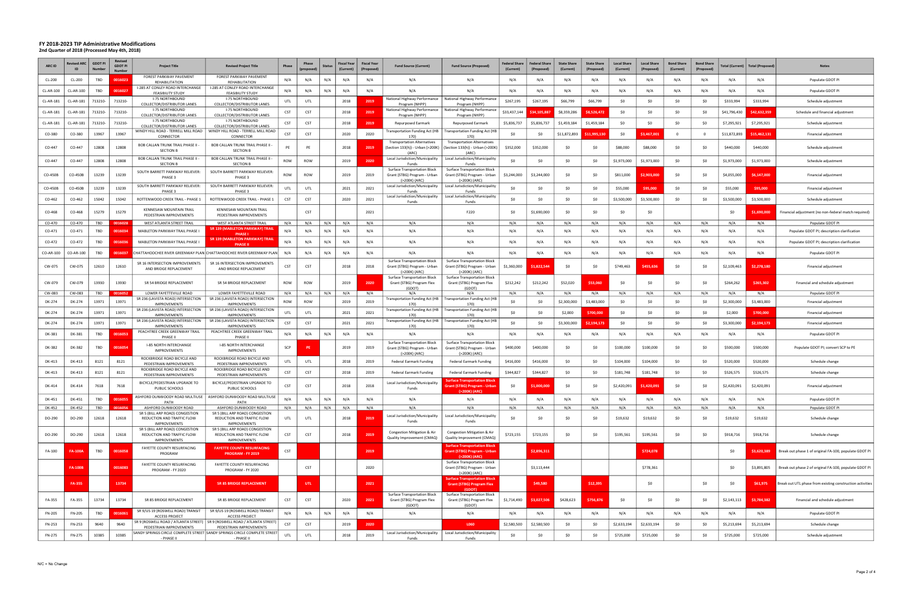| ARC ID    | ID             | <b>GDOT F</b><br>Num | <b>Revised</b><br><b>GDOT PI</b> | <b>Project Title</b>                                                                 | <b>Revised Project Title</b>                                                                           | Phase      | Phase      | Statu: | Fiscal Year<br>(Current) | <b>Fiscal Yea</b><br>(Propos | <b>Fund Source (Current)</b>                                                                  | <b>Fund Source (Proposed)</b>                                                                 | Federal Share<br>(Current) | <b>Federal Shan</b><br>(Proposed | <b>State Share</b><br>(Current) | <b>State Share</b><br>(Proposed | <b>Local Share</b><br>(Current) | <b>Local Share</b><br>(Proposed) | <b>Bond Share</b><br><b>(Current</b> | <b>Bond Share</b><br>(Prop | 'otal (Current) | <b>Total (Proposed)</b> | <b>Notes</b>                                              |
|-----------|----------------|----------------------|----------------------------------|--------------------------------------------------------------------------------------|--------------------------------------------------------------------------------------------------------|------------|------------|--------|--------------------------|------------------------------|-----------------------------------------------------------------------------------------------|-----------------------------------------------------------------------------------------------|----------------------------|----------------------------------|---------------------------------|---------------------------------|---------------------------------|----------------------------------|--------------------------------------|----------------------------|-----------------|-------------------------|-----------------------------------------------------------|
| CL-200    | CL-200         | TBD                  | 0016023                          | FOREST PARKWAY PAVEMENT<br>REHABILITATION                                            | FOREST PARKWAY PAVEMENT<br>REHABILITATION                                                              | N/A        | N/A        | N/A    | N/A                      | N/A                          | N/A                                                                                           | N/A                                                                                           | N/A                        | N/A                              | N/A                             | N/A                             | N/A                             |                                  | N/A                                  | N/A                        | N/A             | N/A                     | Populate GDOT PI                                          |
| CL-AR-100 | CL-AR-100      | TBD                  | 0016027                          | I-285 AT CONLEY ROAD INTERCHANGE<br><b>FEASIBILITY STUDY</b>                         | I-285 AT CONLEY ROAD INTERCHANGE<br><b>FEASIBILITY STUDY</b>                                           | N/A        | N/A        | N/A    | N/A                      | N/A                          | N/A                                                                                           | N/A                                                                                           | N/A                        | N/A                              | N/A                             | N/A                             | $N/\rho$                        |                                  | N/A                                  | N/A                        | N/A             | N/A                     | Populate GDOT PI                                          |
| CL-AR-181 | CL-AR-181      | 713210               | 713210-                          | <b>I-75 NORTHBOUND</b><br>COLLECTOR/DISTRIBUTOR LANES                                | I-75 NORTHBOUND<br>COLLECTOR/DISTRIBUTOR LANES                                                         | UTL        | UTL        |        | 2018                     | 2019                         | National Highway Performance<br>Program (NHPP                                                 | National Highway Performance<br>Program (NHPP)                                                | \$267,195                  | \$267,195                        | \$66,799                        | \$66,799                        | - \$0                           |                                  | \$0                                  | -SO                        | \$333,994       | \$333,994               | Schedule adjustment                                       |
| CL-AR-181 | CL-AR-181      | 713210-              | 713210                           | <b>I-75 NORTHBOUND</b><br>COLLECTOR/DISTRIBUTOR LANES                                | <b>I-75 NORTHBOUND</b><br>COLLECTOR/DISTRIBUTOR LANES                                                  | <b>CST</b> | <b>CST</b> |        | 2018                     | 2019                         | National Highway Performance<br>Program (NHPP)                                                | National Highway Performance<br>Program (NHPP                                                 | \$33,437,14                | 4.105.88                         | \$8,359,286                     | 526.47                          | - SO                            |                                  | \$0                                  |                            | \$41,796,430    | \$42,632,359            | Schedule and financial adjustment                         |
| CL-AR-181 | CL-AR-181      | 713210               | 713210-                          | <b>I-75 NORTHBOUND</b><br>COLLECTOR/DISTRIBUTOR LANES                                | <b>I-75 NORTHBOUND</b><br>COLLECTOR/DISTRIBUTOR LANES                                                  | <b>CST</b> | <b>CST</b> |        | 2018                     | 2019                         | <b>Repurposed Earmark</b>                                                                     | Repurposed Earmark                                                                            | \$5,836,737                | \$5,836,737                      | \$1,459,184                     | \$1,459,184                     | - \$0                           |                                  | \$0                                  | - SC                       | \$7,295,921     | \$7,295,921             | Schedule adjustment                                       |
| CO-380    | CO-380         | 13967                | 13967                            | WINDY HILL ROAD - TERRELL MILL ROAD<br>CONNECTOR                                     | WINDY HILL ROAD - TERRELL MILL ROAD<br>CONNECTOR                                                       | CST        | <b>CST</b> |        | 2020                     | 2020                         | <b>Fransportation Funding Act (HB</b><br>170                                                  | <b>Transportation Funding Act (HE</b>                                                         | \$0                        | \$0                              | \$11,872,893                    | 11.995.13                       | -SO                             | \$3.467.00                       | $\Omega$                             |                            | \$11,872,893    | \$15,462,131            | Financial adjustment                                      |
| CO-447    | CO-447         | 12808                | 12808                            | BOB CALLAN TRUNK TRAIL PHASE II -<br><b>SECTION B</b>                                | <b>BOB CALLAN TRUNK TRAIL PHASE II</b><br><b>SECTION B</b>                                             | PE         | PE         |        | 2018                     | 2019                         | <b>Transportation Alternatives</b><br>Section 133(h)) - Urban (>200K)                         | <b>Transportation Alternatives</b><br>(Section 133(h)) - Urban (>200K                         | \$352,000                  | \$352,000                        | \$0                             | - SO                            | \$88,000                        | \$88,000                         | \$0                                  | - \$0                      | \$440,000       | \$440,000               | Schedule adjustment                                       |
| CO-447    | CO-447         | 12808                | 12808                            | BOB CALLAN TRUNK TRAIL PHASE II -                                                    | BOB CALLAN TRUNK TRAIL PHASE II                                                                        | ROW        | <b>ROW</b> |        | 2019                     | 2020                         | (ARC<br>Local Jurisdiction/Municipality                                                       | <b>IARC</b><br>Local Jurisdiction/Municipality                                                | \$0                        | \$0                              | \$0                             | - SO                            | \$1,973,000                     | \$1,973,000                      | \$0                                  | SC                         | \$1,973,000     | \$1,973,000             | Schedule adjustment                                       |
| CO-450B   | CO-450B        | 13239                | 13239                            | <b>SECTION B</b><br>SOUTH BARRETT PARKWAY RELIEVER:<br>PHASE 3                       | <b>SECTION B</b><br>SOUTH BARRETT PARKWAY RELIEVER:<br>PHASE 3                                         | ROW        | <b>ROW</b> |        | 2019                     | 2019                         | <b>Funds</b><br>Surface Transportation Block<br>Grant (STBG) Program - Urban<br>(>200K) (ARC) | Funds<br><b>Surface Transportation Block</b><br>Grant (STBG) Program - Urban<br>(>200K) (ARC) | \$3,244,000                | \$3,244,000                      | - SO                            | -SO                             | \$811,000                       | \$2.903.00                       | \$0                                  | S0                         | \$4,055,000     | \$6,147,000             | Financial adjustment                                      |
| CO-450B   | CO-450B        | 13239                | 13239                            | SOUTH BARRETT PARKWAY RELIEVER:<br>PHASE 3                                           | SOUTH BARRETT PARKWAY RELIEVER:<br>PHASE 3                                                             | UTL        | UTL        |        | 2021                     | 2021                         | Local Jurisdiction/Municipality<br>Funds                                                      | Local Jurisdiction/Municipalit<br><b>Funds</b>                                                | \$0                        | \$0                              | \$0                             | <b>SO</b>                       | \$55,000                        | \$95,000                         | \$0                                  | \$0                        | \$55,000        | \$95,000                | Financial adjustment                                      |
| CO-462    | CO-462         | 15042                | 15042                            | ROTTENWOOD CREEK TRAIL - PHASE 1                                                     | ROTTENWOOD CREEK TRAIL - PHASE 1                                                                       | CST        | <b>CST</b> |        | 2020                     | 2021                         | Local Jurisdiction/Municipality                                                               | Local Jurisdiction/Municipalit                                                                | \$0                        | \$0                              | \$0                             | -SO                             | \$3,500,000                     | \$3,500,000                      | \$0                                  | \$0                        | \$3,500,000     | \$3,500,000             | Schedule adjustment                                       |
| CO-468    | CO-468         | 15279                | 15279                            | KENNESAW MOUNTAIN TRAIL<br>PEDESTRIAN IMPROVEMENTS                                   | <b>KENNESAW MOUNTAIN TRAIL</b><br>PEDESTRIAN IMPROVEMENTS                                              |            | <b>CST</b> |        |                          | 2021                         | Funds                                                                                         | Funds<br>F220                                                                                 | S0                         | \$1,690,000                      | - \$0                           |                                 |                                 |                                  |                                      |                            | S0              | \$1,690,000             | Financial adjustment (no non-federal match required)      |
| CO-470    | CO-470         | TBD                  | 0016028                          | WEST ATLANTA STREET TRAIL                                                            | <b>WEST ATLANTA STREET TRAIL</b>                                                                       | N/A        | N/A        | N/A    | N/A                      | N/A                          | N/A                                                                                           | N/A                                                                                           | N/A                        | N/A                              | N/A                             | N/A                             | N/A                             | N/A                              | N/A                                  | N/A                        | N/A             | N/A                     | Populate GDOT PI                                          |
| CO-471    | CO-471         | TBD                  | 001603                           | MABLETON PARKWAY TRAIL PHASE                                                         | SR 139 (MABLETON PARKWAY) TRAI<br><b>PHASE</b> I                                                       | N/A        | N/A        | N/A    | N/t                      | N/A                          | N/A                                                                                           | N/A                                                                                           | $N/\ell$                   | N/A                              | N/A                             | N/A                             | $N/\rho$                        | N/A                              | N/A                                  | N/A                        | N/A             | N/A                     | Populate GDOT PI; description clarification               |
| CO-472    | CO-472         | TBD                  | 0016036                          | MABLETON PARKWAY TRAIL PHASE I                                                       | SR 139 (MABLETON PARKWAY) TRAIL<br><b>PHASE</b>                                                        | N/A        | N/A        | N/A    | N/A                      | N/A                          | N/A                                                                                           | N/A                                                                                           | N/A                        | N/A                              | N/A                             | N/A                             | N/A                             | N/f                              | N/A                                  | N/A                        | N/A             | N/A                     | Populate GDOT PI; description clarification               |
| CO-AR-100 | CO-AR-100      | TBD                  | 0016037                          |                                                                                      | CHATTAHOOCHEE RIVER GREENWAY PLAN CHATTAHOOCHEE RIVER GREENWAY PLAN                                    | N/A        | N/A        | N/A    | N/A                      | N/A                          | N/A                                                                                           | N/A                                                                                           | N/A                        | N/A                              | N/A                             | N/A                             | N/A                             | N/A                              | N/A                                  | N/A                        | N/A             | N/A                     | Populate GDOT PI                                          |
| CW-075    | CW-075         | 12610                | 12610                            | SR 16 INTERSECTION IMPROVEMENTS<br>AND BRIDGE REPLACEMENT                            | SR 16 INTERSECTION IMPROVEMENTS<br>AND BRIDGE REPLACEMENT                                              | CST        | <b>CST</b> |        | 2018                     | 2018                         | Surface Transportation Block<br>Grant (STBG) Program - Urban<br>(>200K) (ARC)                 | <b>Surface Transportation Block</b><br>Grant (STBG) Program - Urban<br>(>200K) (ARC)          | \$1,360,000                | \$1.822.54                       | \$0                             | -SO                             | \$749,463                       | \$455.63                         | \$0                                  | S0                         | \$2,109,463     | \$2,278,180             | Financial adjustment                                      |
| CW-079    | CW-079         | 13930                | 13930                            | SR 54 BRIDGE REPLACEMENT                                                             | SR 54 BRIDGE REPLACEMENT                                                                               | <b>ROW</b> | <b>ROW</b> |        | 2019                     | 2020                         | Surface Transportation Block<br>Grant (STBG) Program Flex<br>(GDOT                            | Surface Transportation Block<br>Grant (STBG) Program Flex<br>(GDOT)                           | \$212,242                  | \$212,242                        | \$52,020                        | \$53,060                        | - SO                            |                                  | \$0                                  | S0                         | \$264,262       | \$265,302               | Financial and schedule adjustment                         |
| CW-083    | CW-083         | TBD                  | 0016052                          | LOWER FAYETTEVILLE ROAD<br>SR 236 (LAVISTA ROAD) INTERSECTION                        | LOWER FAYETTEVILLE ROAD<br>SR 236 (LAVISTA ROAD) INTERSECTION                                          | N/A        | N/A        | N/A    | N/A                      | N/A                          | N/A<br><b>Fransportation Funding Act (HB</b>                                                  | N/A<br><b>Transportation Funding Act (HB</b>                                                  | N/A                        | N/A                              | N/A                             | N/A                             | N/A                             | N/A                              | N/A                                  | N/A                        | N/A             | N/A                     | Populate GDOT PI                                          |
| DK-274    | DK-274         | 13971                | 13971                            | <b>IMPROVEMENTS</b><br>SR 236 (LAVISTA ROAD) INTERSECTION                            | <b>IMPROVEMENTS</b><br>SR 236 (LAVISTA ROAD) INTERSECTION                                              | ROW        | <b>ROW</b> |        | 2019                     | 2019                         | 170)<br>[18] Transportation Funding Act                                                       | 170<br>Transportation Funding Act (HB                                                         | \$0                        | \$0                              | \$2,300,000                     | \$3,483,000                     | - SO                            |                                  | \$0                                  |                            | \$2,300,000     | \$3,483,000             | Financial adjustment                                      |
| DK-274    | DK-274         | 13971                | 13971                            | <b>IMPROVEMENTS</b><br>SR 236 (LAVISTA ROAD) INTERSECTION                            | <b>IMPROVEMENTS</b><br>SR 236 (LAVISTA ROAD) INTERSECTION                                              | UTL        | UTL        |        | 2021                     | 2021                         | 170                                                                                           | 170<br>Transportation Funding Act (HB   Transportation Funding Act (HB                        | S0                         | \$0                              | \$2,000                         | <b>\$700.00</b>                 | - \$0                           |                                  | \$0                                  | S0                         | \$2,000         | \$700,000               | Financial adjustment                                      |
| DK-274    | DK-274         | 13971                | 13971                            | <b>IMPROVEMENT</b>                                                                   | <b>IMPROVEMENTS</b>                                                                                    | <b>CST</b> | <b>CST</b> |        | 2021                     | 2021                         | 170                                                                                           | 170)                                                                                          | \$0                        | S0                               | \$3,300,000                     | 2.194.17                        | SO                              |                                  | \$0                                  | S0                         | \$3,300,000     | \$2,194,173             | Financial adjustment                                      |
| DK-381    | DK-381         | TBD                  | 0016053                          | PEACHTREE CREEK GREENWAY TRAIL<br>PHASE I                                            | PEACHTREE CREEK GREENWAY TRAIL<br>PHASE I                                                              | N/A        | N/A        | N/A    | N/A                      | N/A                          | N/A                                                                                           | N/A                                                                                           | $N/\ell$                   |                                  | N/A                             | N/A                             | $N/\rho$                        |                                  | N/A                                  | N/A                        | N/A             | N/A                     | Populate GDOT PI                                          |
| DK-382    | DK-382         | TBD                  | 0016054                          | I-85 NORTH INTERCHANGE<br><b>IMPROVEMENTS</b>                                        | I-85 NORTH INTERCHANGE<br><b>IMPROVEMENTS</b>                                                          | SCP        |            |        | 2019                     | 2019                         | Surface Transportation Block<br>Grant (STBG) Program - Urban<br>(>200K) (ARC)                 | Surface Transportation Block<br>Grant (STBG) Program - Urban<br>(>200K) (ARC)                 | \$400,000                  | \$400,000                        | \$C                             | S0                              | \$100,000                       | \$100,000                        | \$C                                  | S0                         | \$500,000       | \$500,000               | Populate GDOT PI; convert SCP to PE                       |
| DK-413    | DK-413         | 8121                 | 8121                             | ROCKBRIDGE ROAD BICYCLE AND<br>PEDESTRIAN IMPROVEMENTS                               | ROCKBRIDGE ROAD BICYCLE AND<br>PEDESTRIAN IMPROVEMENTS                                                 | UTL        | UTL        |        | 2018                     | 2019                         | Federal Earmark Funding                                                                       | Federal Earmark Funding                                                                       | \$416,000                  | \$416,000                        | <b>SO</b>                       | \$0                             | \$104,000                       | \$104,000                        |                                      |                            | \$520,000       | \$520,000               | Schedule change                                           |
| DK-413    | DK-413         | 8121                 | 8121                             | ROCKBRIDGE ROAD BICYCLE AND<br>PEDESTRIAN IMPROVEMENTS                               | ROCKBRIDGE ROAD BICYCLE AND<br>PEDESTRIAN IMPROVEMENTS                                                 | <b>CST</b> | <b>CST</b> |        | 2018                     | 2019                         | Federal Earmark Funding                                                                       | Federal Earmark Funding                                                                       | \$344,827                  | \$344,827                        | \$0                             | \$0                             | \$181,748                       | \$181,748                        | \$0                                  | -SC                        | \$526,575       | \$526,575               | Schedule change                                           |
| DK-414    | DK-414         | 7618                 | 7618                             | BICYCLE/PEDESTRIAN UPGRADE TO<br>PUBLIC SCHOOLS                                      | BICYCLE/PEDESTRIAN UPGRADE TO<br>PUBLIC SCHOOLS                                                        | <b>CST</b> | <b>CST</b> |        | 2018                     | 2018                         | Local Jurisdiction/Municipality<br>Funds                                                      | Surface Transportation Bloc<br><u> Grant (STBG) Program - Urbar</u><br>(>200K) (ARC)          | \$0                        | .000.00                          | \$0                             |                                 | \$2,420,091                     | \$1.420.09                       | \$C                                  | \$0                        | \$2,420,091     | \$2,420,091             | Financial adjustment                                      |
| DK-451    | DK-451         | TBD                  | 001605                           | ASHFORD DUNWOODY ROAD MULTIUSE<br>PATH                                               | ASHFORD DUNWOODY ROAD MULTIUSE<br>PATH                                                                 | N/A        | N/A        | N/A    | N/A                      | N/A                          | N/A                                                                                           | N/A                                                                                           | N/A                        | N/A                              | N/A                             | N/A                             | N/A                             | N/A                              | N/A                                  | N/A                        | N/A             | N/A                     | Populate GDOT PI                                          |
| DK-452    | DK-452         | TBD                  | 0016056                          | ASHFORD DUNWOODY ROAD<br>SR 5 (BILL ARP ROAD) CONGESTION                             | ASHFORD DUNWOODY ROAD<br>SR 5 (BILL ARP ROAD) CONGESTION                                               | N/A        | N/A        | N/A    | N/A                      | N/A                          | N/A                                                                                           | N/A                                                                                           | N/A                        | N/A                              | N/A                             | N/A                             | N/A                             | N/A                              | N/A                                  | N/A                        | N/A             | N/A                     | Populate GDOT PI                                          |
| DO-290    | DO-290         | 12618                | 12618                            | REDUCTION AND TRAFFIC FLOW<br><b>IMPROVEMENTS</b>                                    | REDUCTION AND TRAFFIC FLOW<br><b>IMPROVEMENTS</b>                                                      | UTL        | UTL        |        | 2018                     | 2019                         | Local Jurisdiction/Municipality<br>Funds                                                      | Local Jurisdiction/Municipality<br>Funds                                                      | \$0                        | \$0                              | \$0                             | \$0                             | \$19,632                        | \$19,632                         | \$0                                  | \$0                        | \$19,632        | \$19,632                | Schedule change                                           |
| DO-290    | DO-290         | 12618                | 12618                            | SR 5 (BILL ARP ROAD) CONGESTION<br>REDUCTION AND TRAFFIC FLOW<br><b>IMPROVEMENTS</b> | SR 5 (BILL ARP ROAD) CONGESTION<br>REDUCTION AND TRAFFIC FLOW<br><b>IMPROVEMENTS</b>                   | <b>CST</b> | <b>CST</b> |        | 2018                     | 2019                         | Congestion Mitigation & Air<br>Quality Improvement (CMAQ)                                     | Congestion Mitigation & Air<br>Quality Improvement (CMAQ)                                     | \$723,155                  | \$723,155                        | \$0                             | \$0                             | \$195,561                       | \$195,561                        | \$0                                  | SO                         | \$918,716       | \$918,716               | Schedule change                                           |
| FA-100    | <b>FA-100A</b> | TBD                  | 0016058                          | FAYETTE COUNTY RESURFACING<br>PROGRAM                                                | <b>FAYETTE COUNTY RESURFACING</b><br>PROGRAM - FY 2019                                                 | <b>CST</b> |            |        |                          | 2019                         |                                                                                               | <b>Surface Transportation Block</b><br><b>Grant (STBG) Program - Urban</b><br>(>200K) (ARC)   |                            | \$2,896,311                      |                                 |                                 |                                 | \$724,078                        |                                      |                            | \$0             | \$3,620,389             | Break out phase 1 of original FA-100, populate GDOT PI    |
|           | <b>FA-100B</b> |                      | 0016083                          | FAYETTE COUNTY RESURFACING<br>PROGRAM - FY 2020                                      | FAYETTE COUNTY RESURFACING<br>PROGRAM - FY 2020                                                        |            | <b>CST</b> |        |                          | 2020                         |                                                                                               | <b>Surface Transportation Block</b><br>Grant (STBG) Program - Urban<br>(>200K) (ARC)          |                            | \$3,113,444                      |                                 |                                 |                                 | \$778,361                        |                                      |                            | \$0             | \$3,891,805             | Break out phase 2 of original FA-100, populate GDOT PI    |
|           | <b>FA-355</b>  |                      | 13734                            |                                                                                      | <b>SR 85 BRIDGE REPLACEMENT</b>                                                                        |            | UTL        |        |                          | 2021                         |                                                                                               | <b>Surface Transportation Block</b><br><b>Grant (STBG) Program Flex</b><br>(GDOT)             |                            | \$49,580                         |                                 | \$12,395                        |                                 | \$0                              |                                      | \$0                        | \$0             | \$61,975                | Break out UTL phase from existing construction activities |
| FA-355    | FA-355         | 13734                | 13734                            | SR 85 BRIDGE REPLACEMENT                                                             | SR 85 BRIDGE REPLACEMENT                                                                               | <b>CST</b> | CST        |        | 2020                     | 2021                         | Surface Transportation Block<br>Grant (STBG) Program Flex<br>(GDOT)                           | <b>Surface Transportation Block</b><br>Grant (STBG) Program Flex<br>(GDOT)                    | \$1,714,490                | \$3,027,506                      | \$428,623                       | \$756,876                       | \$0                             | \$0                              | \$0                                  | \$0                        | \$2,143,113     | \$3,784,382             | Financial and schedule adjustment                         |
| FN-205    | FN-205         | TBD                  | 0016061                          | SR 9/US 19 (ROSWELL ROAD) TRANSIT<br><b>ACCESS PROJECT</b>                           | SR 9/US 19 (ROSWELL ROAD) TRANSIT<br><b>ACCESS PROJECT</b>                                             | N/A        | N/A        | N/A    | N/A                      | N/A                          | N/A                                                                                           | N/A                                                                                           | N/A                        | N/A                              | N/A                             | N/A                             | N/A                             | N/A                              | N/A                                  | N/A                        | N/A             | N/A                     | Populate GDOT PI                                          |
| FN-253    | FN-253         | 9640                 | 9640                             | PEDESTRIAN IMPROVEMENTS                                                              | SR 9 (ROSWELL ROAD / ATLANTA STREET)   SR 9 (ROSWELL ROAD / ATLANTA STREET)<br>PEDESTRIAN IMPROVEMENTS | <b>CST</b> | <b>CST</b> |        | 2019                     | 2020                         |                                                                                               | L060                                                                                          | \$2,580,500                | \$2,580,500                      | \$0                             | \$0                             | \$2,633,194                     | \$2,633,194                      | \$0                                  | \$0                        | \$5,213,694     | \$5,213,694             | Schedule change                                           |
| FN-275    | FN-275         | 10385                | 10385                            | - PHASE II                                                                           | SANDY SPRINGS CIRCLE COMPLETE STREET SANDY SPRINGS CIRCLE COMPLETE STREET<br>PHASE II                  | UTL        | UTL        |        | 2018                     | 2019                         | Funds                                                                                         | Local Jurisdiction/Municipality   Local Jurisdiction/Municipality<br>Funds                    | \$0                        | \$0                              | \$0                             | \$0                             | \$725,000                       | \$725,000                        | \$0                                  | \$0                        | \$725,000       | \$725,000               | Schedule adjustment                                       |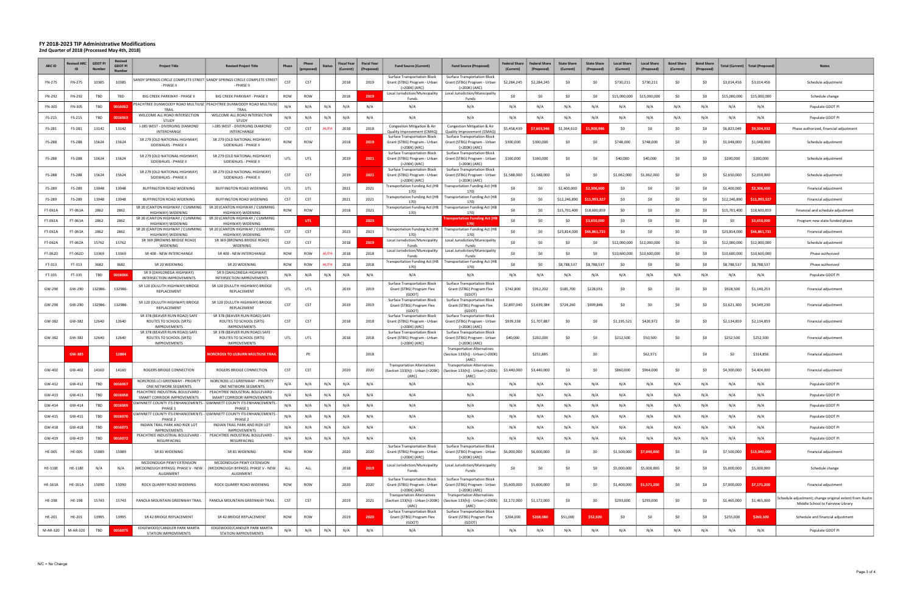| <b>ARC ID</b>  | evised ARC<br>ID | <b>GDOT F</b> | Revised<br><b>GDOT PI</b> | <b>Project Title</b>                                                             | <b>Revised Project Title</b>                                                           | Phase      | Phase<br>propose | <b>Status</b> | <b>Fiscal Year</b><br>(Current) | <b>Fiscal Year</b><br>(Proposed | <b>Fund Source (Current)</b>                                                         | <b>Fund Source (Proposed</b>                                                         | <b>Federal Share</b><br>(Current) | <b>Federal Share</b> | <b>State Share</b><br>(Current) | <b>State Share</b><br>(Proposed) | <b>Local Share</b><br>(Current) | <b>Local Share</b><br>(Proposed) | <b>Bond Share</b><br>(Current) | <b>Bond Share</b><br>(Proposed) | <b>Current</b> ) | <b>Total (Proposed</b> | <b>Notes</b>                                                                                 |
|----------------|------------------|---------------|---------------------------|----------------------------------------------------------------------------------|----------------------------------------------------------------------------------------|------------|------------------|---------------|---------------------------------|---------------------------------|--------------------------------------------------------------------------------------|--------------------------------------------------------------------------------------|-----------------------------------|----------------------|---------------------------------|----------------------------------|---------------------------------|----------------------------------|--------------------------------|---------------------------------|------------------|------------------------|----------------------------------------------------------------------------------------------|
| FN-275         | FN-275           | 10385         | 10385                     | - PHASE II                                                                       | ANDY SPRINGS CIRCLE COMPLETE STREET SANDY SPRINGS CIRCLE COMPLETE STREET<br>- PHASE II | <b>CST</b> | <b>CST</b>       |               | 2018                            | 2019                            | <b>Surface Transportation Block</b><br>Grant (STBG) Program - Urban<br>(>200K) (ARC) | <b>Surface Transportation Block</b><br>Grant (STBG) Program - Urban<br>>200K) (ARC)  | \$2,284,245                       | \$2,284,245          | \$0                             | \$0                              | \$730,211                       | \$730,211                        | \$0                            | -SC                             | \$3,014,456      | \$3,014,456            | Schedule adjustment                                                                          |
| FN-292         | FN-292           | TBD           | TBD                       | BIG CREEK PARKWAY - PHASE II                                                     | BIG CREEK PARKWAY - PHASE II                                                           | ROW        | <b>ROW</b>       |               | 2018                            | 201                             | Local Jurisdiction/Municipality<br>Funds                                             | Local Jurisdiction/Municipality<br>Funds                                             | \$0                               | \$0                  | -SO                             |                                  | \$15,000,000                    | \$15,000,000                     | \$0                            |                                 | \$15,000,000     | \$15,000,000           | Schedule change                                                                              |
| FN-305         | FN-305           | TBD           | 0016062                   | TRAIL                                                                            | PEACHTREE DUNWOODY ROAD MULTIUSE PEACHTREE DUNWOODY ROAD MULTIUSE<br>TRAIL             | N/A        | N/A              | N/A           | N/A                             | N/A                             | N/A                                                                                  | N/A                                                                                  | N/A                               |                      | N/A                             | N/f                              | N/t                             | N/A                              | N/A                            | N/                              | N/A              | N/A                    | Populate GDOT PI                                                                             |
| FS-215         | FS-215           | TBD           | 0016063                   | WELCOME ALL ROAD INTERSECTION<br><b>STUDY</b>                                    | WELCOME ALL ROAD INTERSECTION<br><b>STUDY</b>                                          | N/A        | N/A              | N/A           | N/A                             | N/A                             | N/A                                                                                  | N/A                                                                                  | N/A                               | N/A                  | N/A                             | N/f                              | N/A                             | N/A                              | N/A                            | N/                              | N/A              | N/A                    | Populate GDOT PI                                                                             |
| FS-281         | FS-281           | 13142         | 13142                     | I-285 WEST - DIVERGING DIAMOND<br>INTERCHANGE                                    | I-285 WEST - DIVERGING DIAMOND<br>INTERCHANGE                                          | CST        | <b>CST</b>       |               | 2018                            | 2018                            | Congestion Mitigation & Air<br>Quality Improvement (CMAQ)                            | Congestion Mitigation & Air<br>Quality Improvement (CMAQ)                            | \$5,458,439                       | 7 603 9.             | \$1,364,610                     | 900.98                           | \$0                             | -SO                              | \$0                            | \$C                             | \$6,823,049      | \$9,504,932            | Phase authorized, financial adjustment                                                       |
| FS-288         | FS-288           | 15624         | 15624                     | SR 279 (OLD NATIONAL HIGHWAY)<br>SIDEWALKS - PHASE II                            | SR 279 (OLD NATIONAL HIGHWAY)<br>SIDEWALKS - PHASE II                                  | ROW        | <b>ROW</b>       |               | 2018                            | 2019                            | <b>Surface Transportation Block</b><br>Grant (STBG) Program - Urban<br>(>200K) (ARC) | <b>Surface Transportation Block</b><br>Grant (STBG) Program - Urban<br>(>200K) (ARC) | \$300,000                         | \$300,000            | - SO                            |                                  | \$748,000                       | \$748,000                        | \$0                            |                                 | \$1,048,000      | \$1,048,000            | Schedule adjustment                                                                          |
| FS-288         | FS-288           | 15624         | 15624                     | SR 279 (OLD NATIONAL HIGHWAY)<br>SIDEWALKS - PHASE II                            | SR 279 (OLD NATIONAL HIGHWAY)<br>SIDEWALKS - PHASE II                                  | UTL        | UTI              |               | 2019                            | 2021                            | <b>Surface Transportation Block</b><br>Grant (STBG) Program - Urban<br>(>200K) (ARC) | <b>Surface Transportation Block</b><br>Grant (STBG) Program - Urban<br>(>200K) (ARC) | \$160,000                         | \$160,000            | - \$0                           | \$0                              | \$40,000                        | \$40,000                         | \$0                            | \$C                             | \$200,000        | \$200,000              | Schedule adjustment                                                                          |
| FS-288         | FS-288           | 15624         | 15624                     | SR 279 (OLD NATIONAL HIGHWAY)<br>SIDEWALKS - PHASE II                            | SR 279 (OLD NATIONAL HIGHWAY)<br>SIDEWALKS - PHASE II                                  | <b>CST</b> | <b>CST</b>       |               | 2019                            | 2021                            | Surface Transportation Block<br>Grant (STBG) Program - Urban<br>(>200K) (ARC)        | <b>Surface Transportation Block</b><br>Grant (STBG) Program - Urbar<br>(>200K) (ARC) | \$1,588,000                       | \$1,588,000          | SO                              | \$0                              | \$1,062,000                     | \$1,062,000                      | \$0                            | -SC                             | \$2,650,000      | \$2,650,000            | Schedule adjustment                                                                          |
| FS-289         | FS-289           | 13948         | 13948                     | <b>BUFFINGTON ROAD WIDENING</b>                                                  | <b>BUFFINGTON ROAD WIDENING</b>                                                        | UTL        | UTL              |               | 2021                            | 2021                            | Transportation Funding Act (HB<br>170)                                               | Transportation Funding Act (HB<br>1701                                               | \$0                               | \$0                  | \$1,400,000                     | 2 306 601                        | \$0                             | SC                               | \$0                            | \$C                             | \$1,400,000      | \$2,306,600            | Financial adjustment                                                                         |
| FS-289         | FS-289           | 13948         | 13948                     | <b>BUFFINGTON ROAD WIDENING</b>                                                  | BUFFINGTON ROAD WIDENING                                                               | CST        | <b>CST</b>       |               | 2021                            | 2021                            | Transportation Funding Act (HB<br>170)                                               | <b>Transportation Funding Act (HB</b><br>170)                                        | \$0                               | \$0                  | \$12,246,890                    | 11.993.32                        | \$0                             | -SC                              | \$0                            | \$C                             | \$12,246,890     | \$11.993.327           | Financial adjustment                                                                         |
| FT-061A        | FT-061A          | 2862          | 2862                      | SR 20 (CANTON HIGHWAY / CUMMING<br><b>HIGHWAY) WIDENING</b>                      | SR 20 (CANTON HIGHWAY / CUMMING<br>HIGHWAY) WIDENING                                   | ROW        | <b>ROW</b>       |               | 2018                            | 2021                            | Transportation Funding Act (HB<br>170)                                               | <b>Transportation Funding Act (HB</b><br>170)                                        | \$0                               | \$0                  | \$15,701,400                    | \$18,600,859                     | \$0                             |                                  | \$0                            |                                 | \$15,701,400     | \$18,600,859           | Financial and schedule adjustment                                                            |
| FT-061A        | FT-061A          | 2862          | 2862                      | SR 20 (CANTON HIGHWAY / CUMMING<br>HIGHWAY) WIDENING                             | SR 20 (CANTON HIGHWAY / CUMMING<br>HIGHWAY) WIDENING                                   |            | UTL              |               |                                 | 2023                            |                                                                                      | ransportation Funding Act (F<br>170                                                  | \$0                               | \$0                  | \$0                             | 3.650.00                         | \$0                             | \$0                              | \$0                            | \$0                             | \$0              | \$3,650,000            | Program new state funded phase                                                               |
| FT-061A        | FT-061A          | 2862          | 2862                      | SR 20 (CANTON HIGHWAY / CUMMING<br>HIGHWAY) WIDENING                             | SR 20 (CANTON HIGHWAY / CUMMING<br>HIGHWAY) WIDENING                                   | <b>CST</b> | <b>CST</b>       |               | 2023                            | 2023                            | Transportation Funding Act (HB<br>170)                                               | <b>Transportation Funding Act (HB</b>                                                | \$0                               |                      | \$23,814,000                    | 66.861.73                        | \$0                             | \$0                              | \$0                            | \$C                             | \$23,814,000     | \$66,861,731           | Financial adjustment                                                                         |
| FT-062A        | FT-062A          | 15762         | 15762                     | SR 369 (BROWNS BRIDGE ROAD)<br>WIDENING                                          | SR 369 (BROWNS BRIDGE ROAD)<br>WIDENING                                                | CST        | <b>CST</b>       |               | 2018                            | 201                             | Local Jurisdiction/Municipality<br>Fund:                                             | Local Jurisdiction/Municipality<br>Funds                                             | -SO                               | \$0                  | \$0                             | -SO                              | \$12,000,000                    | \$12,000,000                     | \$0                            | -SC                             | \$12,000,000     | \$12,000,000           | Schedule adjustment                                                                          |
| FT-062D        | FT-062D          | 13369         | 13369                     | SR 400 - NEW INTERCHANGE                                                         | SR 400 - NEW INTERCHANGE                                                               | ROW        | <b>ROW</b>       |               | 2018                            | 2018                            | Local Jurisdiction/Municipality<br>Fund:                                             | Local Jurisdiction/Municipality<br>Funds                                             | \$0                               | \$0                  | - SO                            | \$0                              | \$10,600,000                    | \$10,600,000                     | \$0                            | \$C                             | \$10,600,000     | \$10,600,000           | Phase authorized                                                                             |
| FT-313         | FT-313           | 3682          | 3682                      | SR 20 WIDENING                                                                   | SR 20 WIDENING                                                                         | ROW        | ROW              |               | 2018                            | 2018                            | Transportation Funding Act (HB<br>170)                                               | <b>Transportation Funding Act (HB</b><br>170)                                        | \$0                               | \$0                  | \$8,788,537                     | \$8,788,537                      | \$0                             | \$0                              | \$0                            | \$C                             | \$8,788,537      | \$8,788,537            | Phase authorized                                                                             |
| FT-335         | FT-335           | TBD           | 0016066                   | SR 9 (DAHLONEGA HIGHWAY)<br>INTERSECTION IMPROVEMENTS                            | SR 9 (DAHLONEGA HIGHWAY)<br>INTERSECTION IMPROVEMENTS                                  | N/A        |                  | N/A           | N/A                             | N/A                             | N/A                                                                                  | N/A                                                                                  | N/A                               |                      | N/A                             |                                  | N/l                             |                                  | N/A                            | N/                              | N/A              | N/A                    | Populate GDOT PI                                                                             |
| GW-290         | GW-290           | 132986        | 132986                    | SR 120 (DULUTH HIGHWAY) BRIDGE<br>REPLACEMENT                                    | SR 120 (DULUTH HIGHWAY) BRIDGE<br>REPLACEMENT                                          | UTL        | UTL              |               | 2019                            | 2019                            | <b>Surface Transportation Block</b><br>Grant (STBG) Program Flex<br>(GDOT)           | <b>Surface Transportation Block</b><br>Grant (STBG) Program Flex<br>(GDOT)           | \$742,800                         | \$912,202            | \$185,700                       | \$228,051                        | \$0                             | -SC                              | \$0                            | \$C                             | \$928,500        | \$1,140,253            | Financial adjustment                                                                         |
| GW-290         | GW-290           | 132986        | 132986                    | SR 120 (DULUTH HIGHWAY) BRIDGE<br>REPLACEMENT                                    | SR 120 (DULUTH HIGHWAY) BRIDGE<br>REPLACEMENT                                          | CST        | <b>CST</b>       |               | 2019                            | 2019                            | <b>Surface Transportation Block</b><br>Grant (STBG) Program Flex<br>(GDOT)           | <b>Surface Transportation Block</b><br>Grant (STBG) Program Flex<br>(GDOT)           | \$2,897,040                       | \$3,639,384          | \$724,260                       | \$909,846                        | - SO                            | SC                               | \$0                            | -SC                             | \$3,621,300      | \$4,549,230            | Financial adjustment                                                                         |
| GW-382         | GW-382           | 12640         | 12640                     | SR 378 (BEAVER RUIN ROAD) SAFE<br>ROUTES TO SCHOOL (SRTS)<br><b>IMPROVEMENTS</b> | SR 378 (BEAVER RUIN ROAD) SAFE<br>ROUTES TO SCHOOL (SRTS)<br><b>IMPROVEMENTS</b>       | <b>CST</b> | <b>CST</b>       |               | 2018                            | 2018                            | Surface Transportation Block<br>Grant (STBG) Program - Urban<br>(>200K) (ARC)        | <b>Surface Transportation Block</b><br>Grant (STBG) Program - Urban<br>(>200K) (ARC) | \$939,338                         | \$1,707,887          | SO                              | \$0                              | \$1,195,521                     | \$426,972                        | \$0                            | \$C                             | \$2,134,859      | \$2,134,859            | Financial adjustment                                                                         |
| GW-382         | GW-382           | 12640         | 12640                     | SR 378 (BEAVER RUIN ROAD) SAFE<br>ROUTES TO SCHOOL (SRTS)<br><b>IMPROVEMENTS</b> | SR 378 (BEAVER RUIN ROAD) SAFE<br>ROUTES TO SCHOOL (SRTS)<br><b>IMPROVEMENTS</b>       | UTL        | UTL              |               | 2018                            | 2018                            | <b>Surface Transportation Block</b><br>Grant (STBG) Program - Urban<br>(>200K) (ARC) | <b>Surface Transportation Block</b><br>Grant (STBG) Program - Urban<br>(>200K) (ARC) | \$40,000                          | \$202,000            | \$0                             | \$0                              | \$212,500                       | \$50,500                         | \$0                            | \$C                             | \$252,500        | \$252,500              | Financial adjustment                                                                         |
|                | <b>GW-385</b>    |               | 12884                     |                                                                                  | <b>NORCROSS TO LILBURN MULTIUSE TRA</b>                                                |            | PE               |               |                                 | 2018                            |                                                                                      | <b>Transportation Alternatives</b><br>(Section 133(h)) - Urban (>200K)<br>(ARC       |                                   | \$251,885            |                                 | \$0                              |                                 | \$62,971                         |                                | \$C                             | \$0              | \$314,856              | Financial adjustment                                                                         |
| GW-402         | GW-402           | 14160         | 14160                     | ROGERS BRIDGE CONNECTION                                                         | ROGERS BRIDGE CONNECTION                                                               | CST        | <b>CST</b>       |               | 2020                            | 2020                            | <b>Transportation Alternatives</b><br>(Section 133(h)) - Urban (>200K)<br>(ARC)      | <b>Transportation Alternatives</b><br>(Section 133(h)) - Urban (>200K)<br>(ARC       | \$3,440,000                       | \$3,440,000          | - SO                            |                                  | \$860,000                       | \$964,000                        | <b>SO</b>                      | \$C                             | \$4,300,000      | \$4,404,000            | Financial adjustment                                                                         |
| GW-412         | GW-412           | TBD           | 0016067                   | NORCROSS LCI GREENWAY - PRIORITY<br>ONE NETWORK SEGMENTS                         | NORCROSS LCI GREENWAY - PRIORITY<br>ONE NETWORK SEGMENTS                               | N/A        | N/A              | N/A           | N/A                             | N/A                             | N/A                                                                                  | N/A                                                                                  | N/A                               | N/A                  | N/A                             | N/A                              | N/A                             | N/A                              | N/A                            | N/A                             | N/A              | N/A                    | Populate GDOT PI                                                                             |
| GW-413         | GW-413           | TBD           |                           | PEACHTREE INDUSTRIAL BOULEVARD -<br>SMART CORRIDOR IMPROVEMENTS                  | PEACHTREE INDUSTRIAL BOULEVARD -<br>SMART CORRIDOR IMPROVEMENTS                        | N/A        | N/A              | N/A           | N/A                             | N/A                             | N/A                                                                                  | N/A                                                                                  | N/A                               | N/A                  | N/A                             | N/A                              | N/A                             | N/A                              | N/A                            | N/A                             | N/A              | N/A                    | Populate GDOT PI                                                                             |
| GW-414         | GW-414           | TBD           | 0016069                   | PHASE 1                                                                          | GWINNETT COUNTY ITS ENHANCEMENTS - GWINNETT COUNTY ITS ENHANCEMENTS -<br>PHASE 1       | N/A        | N/A              | N/A           | N/A                             | N/A                             | N/A                                                                                  | N/A                                                                                  | N/A                               | N/A                  | N/A                             | N/A                              | N/A                             | N/A                              | N/A                            | N/A                             | N/A              | N/A                    | Populate GDOT PI                                                                             |
| GW-415         | GW-415           | TBD           | 0016070                   | PHASE <sub>2</sub>                                                               | GWINNETT COUNTY ITS ENHANCEMENTS - GWINNETT COUNTY ITS ENHANCEMENTS -<br>PHASE 2       | N/A        | N/A              | N/A           | N/A                             | N/A                             | N/A                                                                                  | N/A                                                                                  | N/A                               | N/A                  | N/A                             | N/A                              | N/A                             | N/A                              | N/A                            | N/A                             | N/A              | N/A                    | Populate GDOT PI                                                                             |
| GW-418         | GW-418           | TBD           | 0016071                   | INDIAN TRAIL PARK AND RIDE LOT<br><b>IMPROVEMENTS</b>                            | INDIAN TRAIL PARK AND RIDE LOT<br><b>IMPROVEMENTS</b>                                  | N/A        | N/A              | N/A           | N/A                             | N/A                             | N/A                                                                                  | N/A                                                                                  | N/A                               | N/A                  | N/A                             | N/A                              | N/A                             | N/A                              | N/A                            | N/A                             | N/A              | N/A                    | Populate GDOT PI                                                                             |
| GW-419         | GW-419           | TBD           | 0016072                   | PEACHTREE INDUSTRIAL BOULEVARD -<br>RESURFACING                                  | PEACHTREE INDUSTRIAL BOULEVARD -<br>RESURFACING                                        | N/A        | N/A              | N/A           | N/A                             | N/A                             | N/A                                                                                  | N/A                                                                                  | N/A                               | N/A                  | N/A                             | N/A                              | N/A                             | N/A                              | N/A                            | N/A                             | N/A              | N/A                    | Populate GDOT PI                                                                             |
| <b>HE-005</b>  | <b>HE-005</b>    | 15089         | 15089                     | SR 81 WIDENING                                                                   | SR 81 WIDENING                                                                         | ROW        | <b>ROW</b>       |               | 2020                            | 2020                            | <b>Surface Transportation Block</b><br>Grant (STBG) Program - Urban<br>(>200K) (ARC) | <b>Surface Transportation Block</b><br>Grant (STBG) Program - Urban<br>(>200K) (ARC) | \$6,000,000                       | \$6,000,000          | \$0                             | \$0                              | \$1,500,000                     | \$7,040,000                      | \$0                            | \$0                             | \$7,500,000      | \$13,040,000           | Financial adjustment                                                                         |
| <b>HE-118E</b> | <b>HE-118E</b>   | N/A           | N/A                       | MCDONOUGH PKWY EXTENSION<br>(MCDONOUGH BYPASS): PHASE V - NEW<br>ALIGNMENT       | MCDONOUGH PKWY EXTENSION<br>(MCDONOUGH BYPASS): PHASE V - NEW<br>ALIGNMENT             | ALL        | ALL              |               | 2018                            | 2019                            | Local Jurisdiction/Municipality<br>Funds                                             | Local Jurisdiction/Municipality<br>Funds                                             | \$0                               | \$0                  | \$0                             | \$0                              | \$5,000,000                     | \$5,000,000                      | \$0                            | \$0                             | \$5,000,000      | \$5,000,000            | Schedule change                                                                              |
| <b>HE-161A</b> | <b>HE-161A</b>   | 15090         | 15090                     | ROCK QUARRY ROAD WIDENING                                                        | ROCK QUARRY ROAD WIDENING                                                              | ROW        | ROW              |               | 2020                            | 2020                            | <b>Surface Transportation Block</b><br>Grant (STBG) Program - Urban<br>(>200K) (ARC) | <b>Surface Transportation Block</b><br>Grant (STBG) Program - Urban<br>(>200K) (ARC) | \$5,600,000                       | \$5,600,000          | \$0                             | \$0                              | \$1,400,000                     | \$1,571,200                      | \$0                            | \$0                             | \$7,000,000      | \$7,171,200            | Financial adjustment                                                                         |
| HE-198         | HE-198           | 15743         | 15743                     | PANOLA MOUNTAIN GREENWAY TRAIL                                                   | PANOLA MOUNTAIN GREENWAY TRAIL                                                         | <b>CST</b> | CST              |               | 2019                            | 2021                            | <b>Transportation Alternatives</b><br>(Section 133(h)) - Urban (>200K)<br>(ARC)      | <b>Transportation Alternatives</b><br>(Section 133(h)) - Urban (>200K)<br>(ARC)      | \$1,172,000                       | \$1,172,000          | \$0                             | \$0                              | \$293,000                       | \$293,000                        | \$0                            | \$0                             | \$1,465,000      | \$1,465,000            | Schedule adjustment; change original extent from Austin<br>Middle School to Fairview Library |
| HE-201         | HE-201           | 13995         | 13995                     | SR 42 BRIDGE REPLACEMENT                                                         | SR 42 BRIDGE REPLACEMENT                                                               | ROW        | <b>ROW</b>       |               | 2019                            | 2020                            | <b>Surface Transportation Block</b><br>Grant (STBG) Program Flex<br>(GDOT)           | <b>Surface Transportation Block</b><br>Grant (STBG) Program Flex<br>(GDOT)           | \$204,000                         | \$208,080            | \$51,000                        | \$52,020                         | \$0                             | \$0                              | \$0                            | \$0                             | \$255,000        | \$260,100              | Schedule and financial adjustment                                                            |
| M-AR-320       | M-AR-320         | TBD           | 0016075                   | EDGEWOOD/CANDLER PARK MARTA<br>STATION IMPROVEMENTS                              | EDGEWOOD/CANDLER PARK MARTA<br>STATION IMPROVEMENTS                                    | N/A        | N/A              | N/A           | N/A                             | N/A                             | N/A                                                                                  | N/A                                                                                  | N/A                               | N/A                  | N/A                             | N/A                              | N/A                             | N/A                              | N/A                            | N/A                             | N/A              | N/A                    | Populate GDOT PI                                                                             |